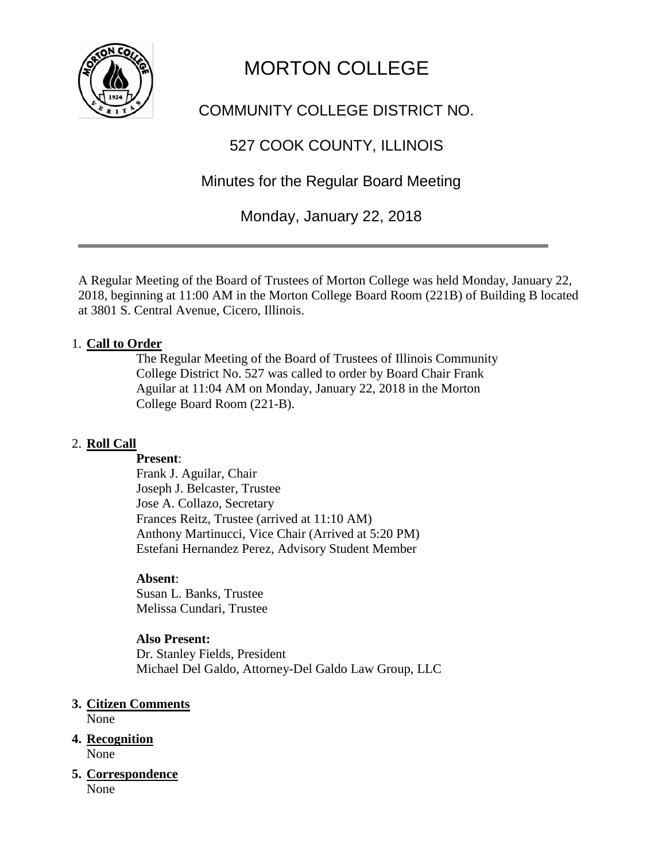

# MORTON COLLEGE

# COMMUNITY COLLEGE DISTRICT NO.

# 527 COOK COUNTY, ILLINOIS

# Minutes for the Regular Board Meeting

Monday, January 22, 2018

A Regular Meeting of the Board of Trustees of Morton College was held Monday, January 22, 2018, beginning at 11:00 AM in the Morton College Board Room (221B) of Building B located at 3801 S. Central Avenue, Cicero, Illinois.

### 1. **Call to Order**

The Regular Meeting of the Board of Trustees of Illinois Community College District No. 527 was called to order by Board Chair Frank Aguilar at 11:04 AM on Monday, January 22, 2018 in the Morton College Board Room (221-B).

#### 2. **Roll Call**

#### **Present**:

Frank J. Aguilar, Chair Joseph J. Belcaster, Trustee Jose A. Collazo, Secretary Frances Reitz, Trustee (arrived at 11:10 AM) Anthony Martinucci, Vice Chair (Arrived at 5:20 PM) Estefani Hernandez Perez, Advisory Student Member

#### **Absent**:

Susan L. Banks, Trustee Melissa Cundari, Trustee

#### **Also Present:**

Dr. Stanley Fields, President Michael Del Galdo, Attorney-Del Galdo Law Group, LLC

**3. Citizen Comments** None

**4. Recognition** None

**5. Correspondence**

None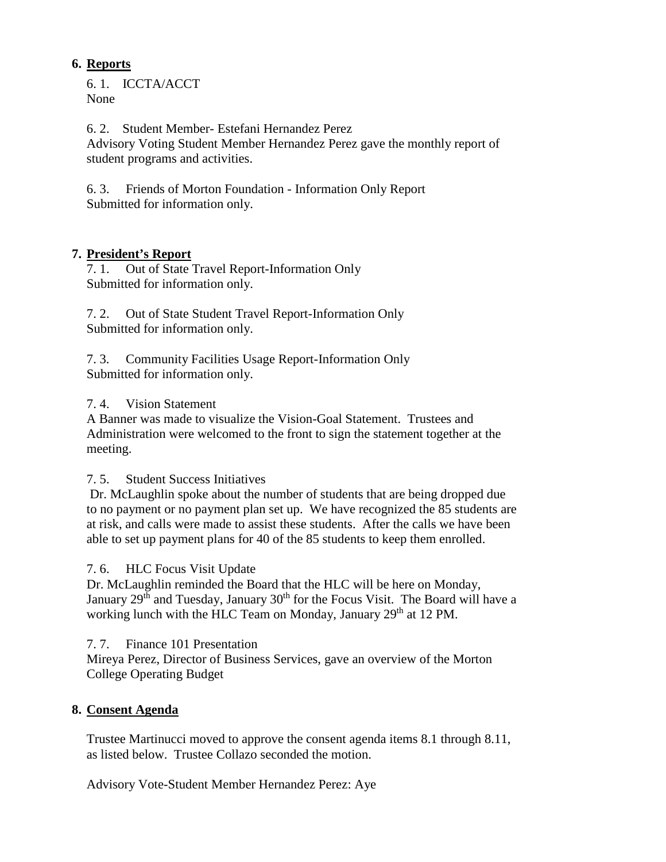### **6. Reports**

6. 1. ICCTA/ACCT None

6. 2. Student Member- Estefani Hernandez Perez

Advisory Voting Student Member Hernandez Perez gave the monthly report of student programs and activities.

6. 3. Friends of Morton Foundation - Information Only Report Submitted for information only.

### **7. President's Report**

7. 1. Out of State Travel Report-Information Only Submitted for information only.

7. 2. Out of State Student Travel Report-Information Only Submitted for information only.

7. 3. Community Facilities Usage Report-Information Only Submitted for information only.

#### 7. 4. Vision Statement

A Banner was made to visualize the Vision-Goal Statement. Trustees and Administration were welcomed to the front to sign the statement together at the meeting.

#### 7. 5. Student Success Initiatives

Dr. McLaughlin spoke about the number of students that are being dropped due to no payment or no payment plan set up. We have recognized the 85 students are at risk, and calls were made to assist these students. After the calls we have been able to set up payment plans for 40 of the 85 students to keep them enrolled.

#### 7. 6. HLC Focus Visit Update

Dr. McLaughlin reminded the Board that the HLC will be here on Monday, January  $29<sup>th</sup>$  and Tuesday, January  $30<sup>th</sup>$  for the Focus Visit. The Board will have a working lunch with the HLC Team on Monday, January 29<sup>th</sup> at 12 PM.

7. 7. Finance 101 Presentation

Mireya Perez, Director of Business Services, gave an overview of the Morton College Operating Budget

#### **8. Consent Agenda**

Trustee Martinucci moved to approve the consent agenda items 8.1 through 8.11, as listed below. Trustee Collazo seconded the motion.

Advisory Vote-Student Member Hernandez Perez: Aye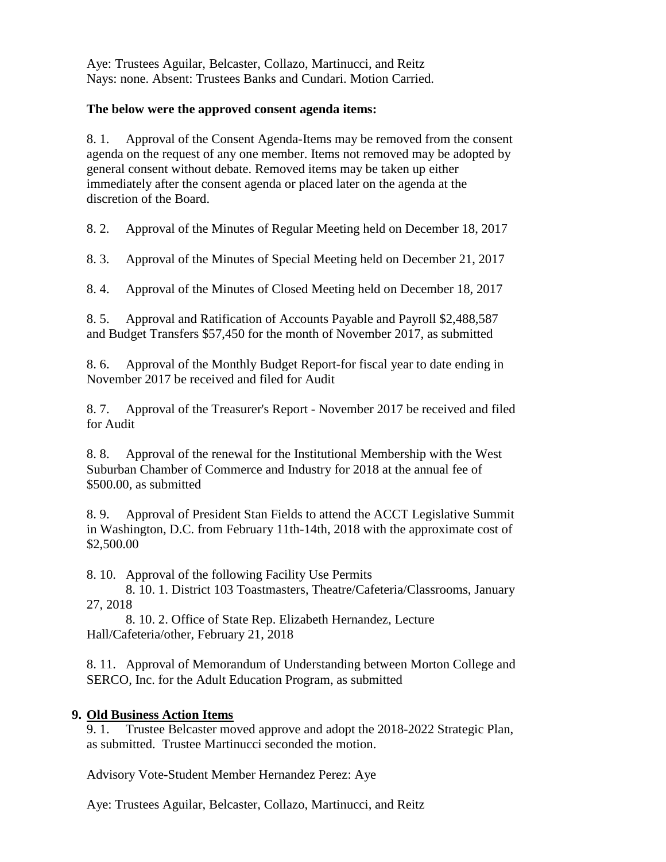Aye: Trustees Aguilar, Belcaster, Collazo, Martinucci, and Reitz Nays: none. Absent: Trustees Banks and Cundari. Motion Carried.

#### **The below were the approved consent agenda items:**

8. 1. Approval of the Consent Agenda-Items may be removed from the consent agenda on the request of any one member. Items not removed may be adopted by general consent without debate. Removed items may be taken up either immediately after the consent agenda or placed later on the agenda at the discretion of the Board.

8. 2. Approval of the Minutes of Regular Meeting held on December 18, 2017

8. 3. Approval of the Minutes of Special Meeting held on December 21, 2017

8. 4. Approval of the Minutes of Closed Meeting held on December 18, 2017

8. 5. Approval and Ratification of Accounts Payable and Payroll \$2,488,587 and Budget Transfers \$57,450 for the month of November 2017, as submitted

8. 6. Approval of the Monthly Budget Report-for fiscal year to date ending in November 2017 be received and filed for Audit

8. 7. Approval of the Treasurer's Report - November 2017 be received and filed for Audit

8. 8. Approval of the renewal for the Institutional Membership with the West Suburban Chamber of Commerce and Industry for 2018 at the annual fee of \$500.00, as submitted

8. 9. Approval of President Stan Fields to attend the ACCT Legislative Summit in Washington, D.C. from February 11th-14th, 2018 with the approximate cost of \$2,500.00

8. 10. Approval of the following Facility Use Permits

 8. 10. 1. District 103 Toastmasters, Theatre/Cafeteria/Classrooms, January 27, 2018

 8. 10. 2. Office of State Rep. Elizabeth Hernandez, Lecture Hall/Cafeteria/other, February 21, 2018

8. 11. Approval of Memorandum of Understanding between Morton College and SERCO, Inc. for the Adult Education Program, as submitted

## **9. Old Business Action Items**

9. 1. Trustee Belcaster moved approve and adopt the 2018-2022 Strategic Plan, as submitted. Trustee Martinucci seconded the motion.

Advisory Vote-Student Member Hernandez Perez: Aye

Aye: Trustees Aguilar, Belcaster, Collazo, Martinucci, and Reitz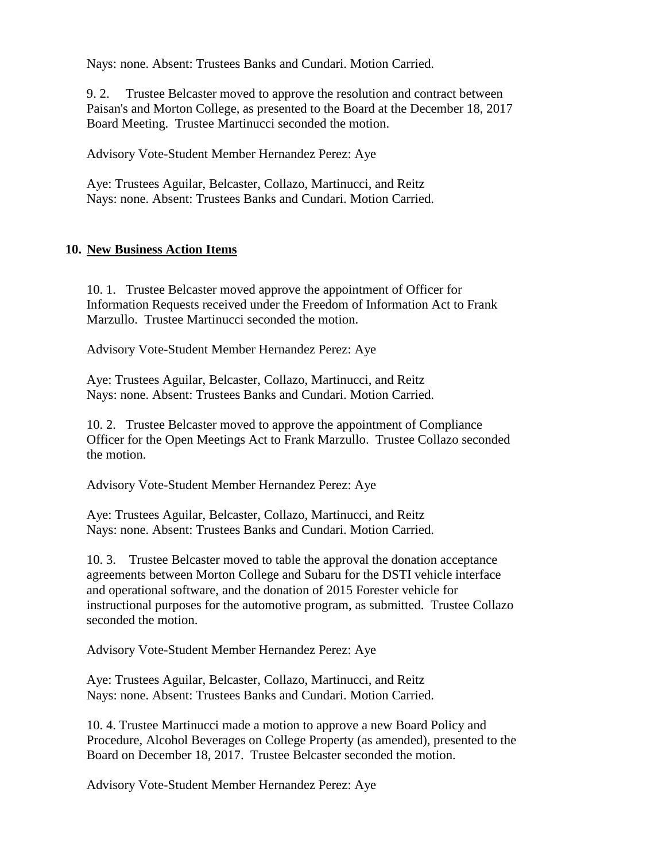Nays: none. Absent: Trustees Banks and Cundari. Motion Carried.

9. 2. Trustee Belcaster moved to approve the resolution and contract between Paisan's and Morton College, as presented to the Board at the December 18, 2017 Board Meeting. Trustee Martinucci seconded the motion.

Advisory Vote-Student Member Hernandez Perez: Aye

Aye: Trustees Aguilar, Belcaster, Collazo, Martinucci, and Reitz Nays: none. Absent: Trustees Banks and Cundari. Motion Carried.

#### **10. New Business Action Items**

10. 1. Trustee Belcaster moved approve the appointment of Officer for Information Requests received under the Freedom of Information Act to Frank Marzullo. Trustee Martinucci seconded the motion.

Advisory Vote-Student Member Hernandez Perez: Aye

Aye: Trustees Aguilar, Belcaster, Collazo, Martinucci, and Reitz Nays: none. Absent: Trustees Banks and Cundari. Motion Carried.

10. 2. Trustee Belcaster moved to approve the appointment of Compliance Officer for the Open Meetings Act to Frank Marzullo. Trustee Collazo seconded the motion.

Advisory Vote-Student Member Hernandez Perez: Aye

Aye: Trustees Aguilar, Belcaster, Collazo, Martinucci, and Reitz Nays: none. Absent: Trustees Banks and Cundari. Motion Carried.

10. 3. Trustee Belcaster moved to table the approval the donation acceptance agreements between Morton College and Subaru for the DSTI vehicle interface and operational software, and the donation of 2015 Forester vehicle for instructional purposes for the automotive program, as submitted. Trustee Collazo seconded the motion.

Advisory Vote-Student Member Hernandez Perez: Aye

Aye: Trustees Aguilar, Belcaster, Collazo, Martinucci, and Reitz Nays: none. Absent: Trustees Banks and Cundari. Motion Carried.

10. 4. Trustee Martinucci made a motion to approve a new Board Policy and Procedure, Alcohol Beverages on College Property (as amended), presented to the Board on December 18, 2017. Trustee Belcaster seconded the motion.

Advisory Vote-Student Member Hernandez Perez: Aye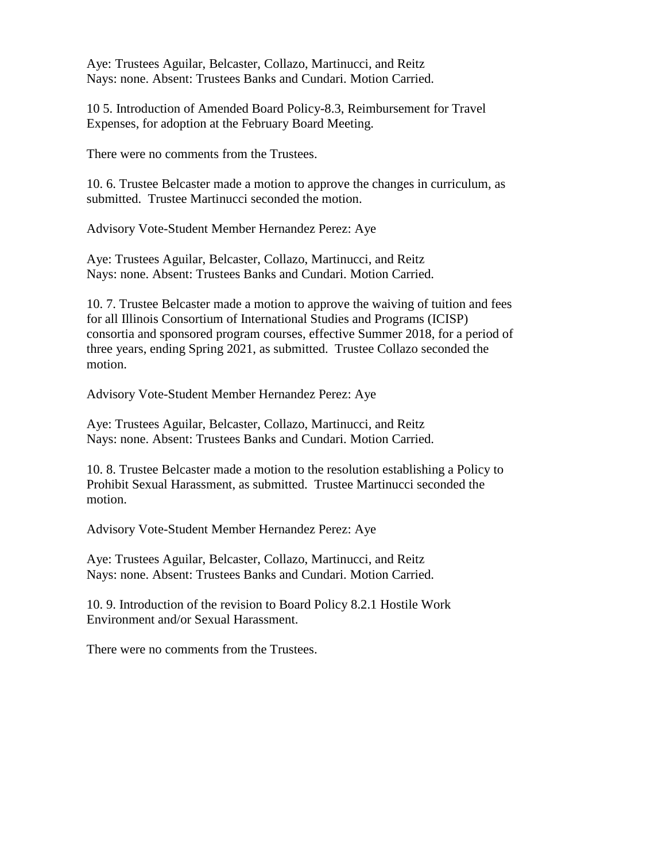Aye: Trustees Aguilar, Belcaster, Collazo, Martinucci, and Reitz Nays: none. Absent: Trustees Banks and Cundari. Motion Carried.

10 5. Introduction of Amended Board Policy-8.3, Reimbursement for Travel Expenses, for adoption at the February Board Meeting.

There were no comments from the Trustees.

10. 6. Trustee Belcaster made a motion to approve the changes in curriculum, as submitted. Trustee Martinucci seconded the motion.

Advisory Vote-Student Member Hernandez Perez: Aye

Aye: Trustees Aguilar, Belcaster, Collazo, Martinucci, and Reitz Nays: none. Absent: Trustees Banks and Cundari. Motion Carried.

10. 7. Trustee Belcaster made a motion to approve the waiving of tuition and fees for all Illinois Consortium of International Studies and Programs (ICISP) consortia and sponsored program courses, effective Summer 2018, for a period of three years, ending Spring 2021, as submitted. Trustee Collazo seconded the motion.

Advisory Vote-Student Member Hernandez Perez: Aye

Aye: Trustees Aguilar, Belcaster, Collazo, Martinucci, and Reitz Nays: none. Absent: Trustees Banks and Cundari. Motion Carried.

10. 8. Trustee Belcaster made a motion to the resolution establishing a Policy to Prohibit Sexual Harassment, as submitted. Trustee Martinucci seconded the motion.

Advisory Vote-Student Member Hernandez Perez: Aye

Aye: Trustees Aguilar, Belcaster, Collazo, Martinucci, and Reitz Nays: none. Absent: Trustees Banks and Cundari. Motion Carried.

10. 9. Introduction of the revision to Board Policy 8.2.1 Hostile Work Environment and/or Sexual Harassment.

There were no comments from the Trustees.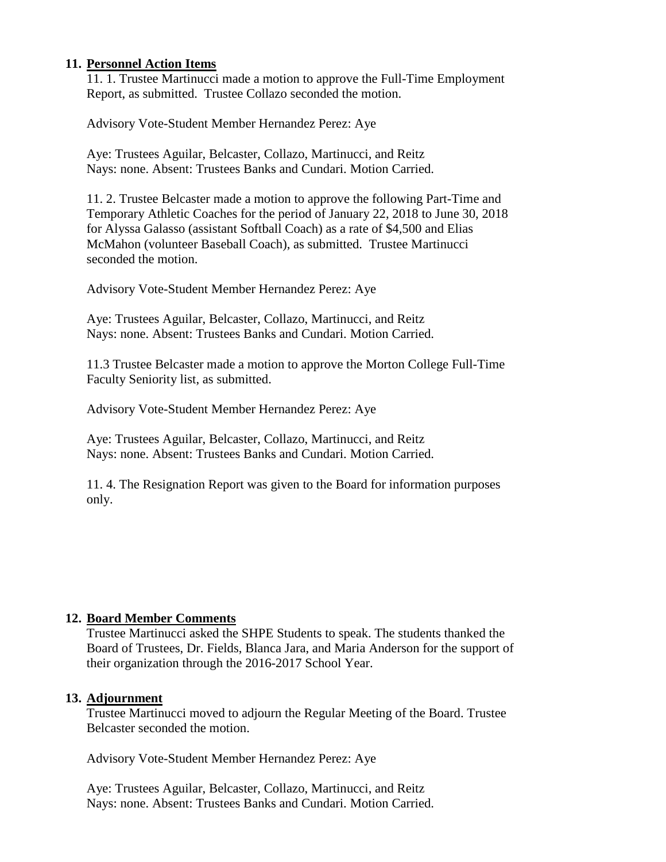#### **11. Personnel Action Items**

11. 1. Trustee Martinucci made a motion to approve the Full-Time Employment Report, as submitted. Trustee Collazo seconded the motion.

Advisory Vote-Student Member Hernandez Perez: Aye

Aye: Trustees Aguilar, Belcaster, Collazo, Martinucci, and Reitz Nays: none. Absent: Trustees Banks and Cundari. Motion Carried.

11. 2. Trustee Belcaster made a motion to approve the following Part-Time and Temporary Athletic Coaches for the period of January 22, 2018 to June 30, 2018 for Alyssa Galasso (assistant Softball Coach) as a rate of \$4,500 and Elias McMahon (volunteer Baseball Coach), as submitted. Trustee Martinucci seconded the motion.

Advisory Vote-Student Member Hernandez Perez: Aye

Aye: Trustees Aguilar, Belcaster, Collazo, Martinucci, and Reitz Nays: none. Absent: Trustees Banks and Cundari. Motion Carried.

11.3 Trustee Belcaster made a motion to approve the Morton College Full-Time Faculty Seniority list, as submitted.

Advisory Vote-Student Member Hernandez Perez: Aye

Aye: Trustees Aguilar, Belcaster, Collazo, Martinucci, and Reitz Nays: none. Absent: Trustees Banks and Cundari. Motion Carried.

11. 4. The Resignation Report was given to the Board for information purposes only.

#### **12. Board Member Comments**

Trustee Martinucci asked the SHPE Students to speak. The students thanked the Board of Trustees, Dr. Fields, Blanca Jara, and Maria Anderson for the support of their organization through the 2016-2017 School Year.

#### **13. Adjournment**

Trustee Martinucci moved to adjourn the Regular Meeting of the Board. Trustee Belcaster seconded the motion.

Advisory Vote-Student Member Hernandez Perez: Aye

Aye: Trustees Aguilar, Belcaster, Collazo, Martinucci, and Reitz Nays: none. Absent: Trustees Banks and Cundari. Motion Carried.